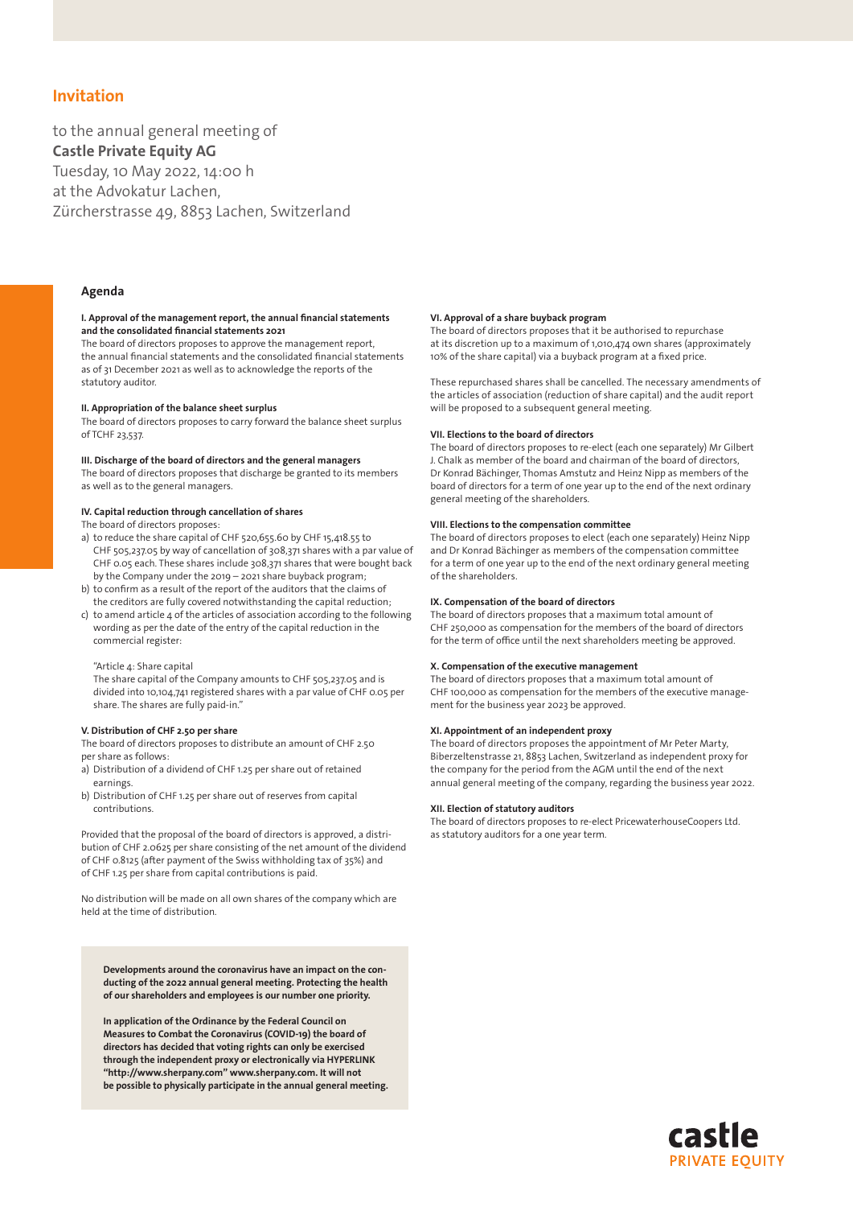# Invitation

to the annual general meeting of Castle Private Equity AG Tuesday, 10 May 2022, 14:00 h at the Advokatur Lachen, Zürcherstrasse 49, 8853 Lachen, Switzerland

## Agenda

### I. Approval of the management report, the annual financial statements and the consolidated financial statements 2021

The board of directors proposes to approve the management report, the annual financial statements and the consolidated financial statements as of 31 December 2021 as well as to acknowledge the reports of the statutory auditor.

## II. Appropriation of the balance sheet surplus

The board of directors proposes to carry forward the balance sheet surplus of TCHF 23,537.

## III. Discharge of the board of directors and the general managers

The board of directors proposes that discharge be granted to its members as well as to the general managers.

## IV. Capital reduction through cancellation of shares

The board of directors proposes:

- a) to reduce the share capital of CHF 520,655.60 by CHF 15,418.55 to CHF 505,237.05 by way of cancellation of 308,371 shares with a par value of CHF 0.05 each. These shares include 308,371 shares that were bought back by the Company under the 2019 – 2021 share buyback program;
- b) to confirm as a result of the report of the auditors that the claims of the creditors are fully covered notwithstanding the capital reduction;
- c) to amend article 4 of the articles of association according to the following wording as per the date of the entry of the capital reduction in the commercial register:

## "Article 4: Share capital

The share capital of the Company amounts to CHF 505,237.05 and is divided into 10,104,741 registered shares with a par value of CHF 0.05 per share. The shares are fully paid-in."

## V. Distribution of CHF 2.50 per share

The board of directors proposes to distribute an amount of CHF 2.50 per share as follows:

- a) Distribution of a dividend of CHF 1.25 per share out of retained earnings.
- b) Distribution of CHF 1.25 per share out of reserves from capital contributions.

Provided that the proposal of the board of directors is approved, a distribution of CHF 2.0625 per share consisting of the net amount of the dividend of CHF 0.8125 (after payment of the Swiss withholding tax of 35%) and of CHF 1.25 per share from capital contributions is paid.

No distribution will be made on all own shares of the company which are held at the time of distribution.

Developments around the coronavirus have an impact on the conducting of the 2022 annual general meeting. Protecting the health of our shareholders and employees is our number one priority.

In application of the Ordinance by the Federal Council on Measures to Combat the Coronavirus (COVID-19) the board of directors has decided that voting rights can only be exercised through the independent proxy or electronically via HYPERLINK "http://www.sherpany.com" www.sherpany.com. It will not be possible to physically participate in the annual general meeting.

### VI. Approval of a share buyback program

The board of directors proposes that it be authorised to repurchase at its discretion up to a maximum of 1,010,474 own shares (approximately 10% of the share capital) via a buyback program at a fixed price.

These repurchased shares shall be cancelled. The necessary amendments of the articles of association (reduction of share capital) and the audit report will be proposed to a subsequent general meeting.

## VII. Elections to the board of directors

The board of directors proposes to re-elect (each one separately) Mr Gilbert J. Chalk as member of the board and chairman of the board of directors, Dr Konrad Bächinger, Thomas Amstutz and Heinz Nipp as members of the board of directors for a term of one year up to the end of the next ordinary general meeting of the shareholders.

#### VIII. Elections to the compensation committee

The board of directors proposes to elect (each one separately) Heinz Nipp and Dr Konrad Bächinger as members of the compensation committee for a term of one year up to the end of the next ordinary general meeting of the shareholders.

## IX. Compensation of the board of directors

The board of directors proposes that a maximum total amount of CHF 250,000 as compensation for the members of the board of directors for the term of office until the next shareholders meeting be approved.

## X. Compensation of the executive management

The board of directors proposes that a maximum total amount of CHF 100,000 as compensation for the members of the executive management for the business year 2023 be approved.

## XI. Appointment of an independent proxy

The board of directors proposes the appointment of Mr Peter Marty, Biberzeltenstrasse 21, 8853 Lachen, Switzerland as independent proxy for the company for the period from the AGM until the end of the next annual general meeting of the company, regarding the business year 2022.

## XII. Election of statutory auditors

The board of directors proposes to re-elect PricewaterhouseCoopers Ltd. as statutory auditors for a one year term.